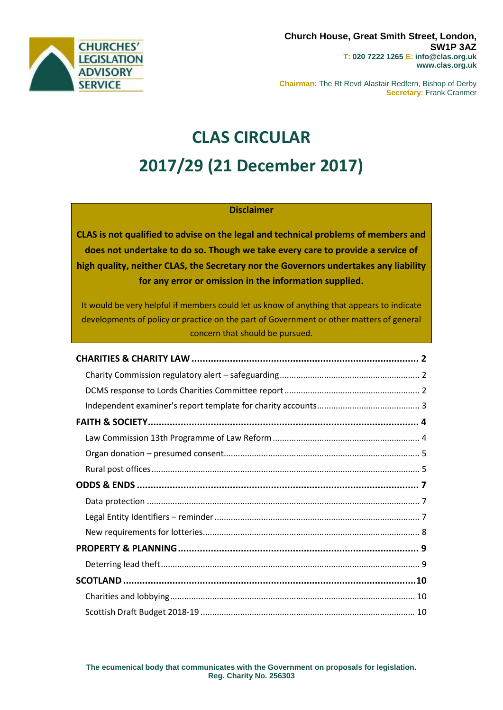

**Chairman:** The Rt Revd Alastair Redfern, Bishop of Derby **Secretary:** Frank Cranmer

# **CLAS CIRCULAR 2017/29 (21 December 2017)**

### **Disclaimer**

**CLAS is not qualified to advise on the legal and technical problems of members and does not undertake to do so. Though we take every care to provide a service of high quality, neither CLAS, the Secretary nor the Governors undertakes any liability for any error or omission in the information supplied.**

It would be very helpful if members could let us know of anything that appears to indicate developments of policy or practice on the part of Government or other matters of general concern that should be pursued.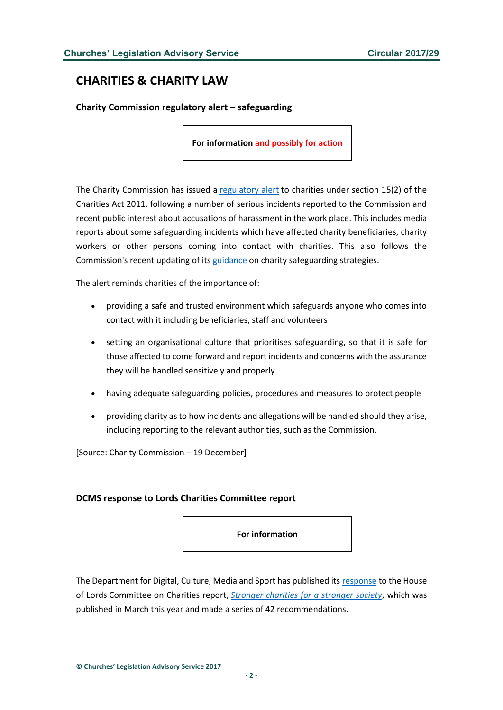# <span id="page-1-0"></span>**CHARITIES & CHARITY LAW**

<span id="page-1-1"></span>**Charity Commission regulatory alert – safeguarding** 

**For information and possibly for action**

The Charity Commission has issued a [regulatory alert](http://www.gov.uk/government/news/regulatory-alert-to-charities-safeguarding) to charities under section 15(2) of the Charities Act 2011, following a number of serious incidents reported to the Commission and recent public interest about accusations of harassment in the work place. This includes media reports about some safeguarding incidents which have affected charity beneficiaries, charity workers or other persons coming into contact with charities. This also follows the Commission's recent updating of its [guidance](http://www.gov.uk/government/publications/strategy-for-dealing-with-safeguarding-issues-in-charities) on charity safeguarding strategies.

The alert reminds charities of the importance of:

- providing a safe and trusted environment which safeguards anyone who comes into contact with it including beneficiaries, staff and volunteers
- setting an organisational culture that prioritises safeguarding, so that it is safe for those affected to come forward and report incidents and concerns with the assurance they will be handled sensitively and properly
- having adequate safeguarding policies, procedures and measures to protect people
- providing clarity as to how incidents and allegations will be handled should they arise, including reporting to the relevant authorities, such as the Commission.

[Source: Charity Commission – 19 December]

#### <span id="page-1-2"></span>**DCMS response to Lords Charities Committee report**

**For information**

The Department for Digital, Culture, Media and Sport has published its [response](http://www.parliament.uk/documents/lords-committees/charities/Charities-Government-response-191217.pdf) to the House of Lords Committee on Charities report, *[Stronger charities for a stronger society](http://publications.parliament.uk/pa/ld201617/ldselect/ldchar/133/133.pdf)*, which was published in March this year and made a series of 42 recommendations.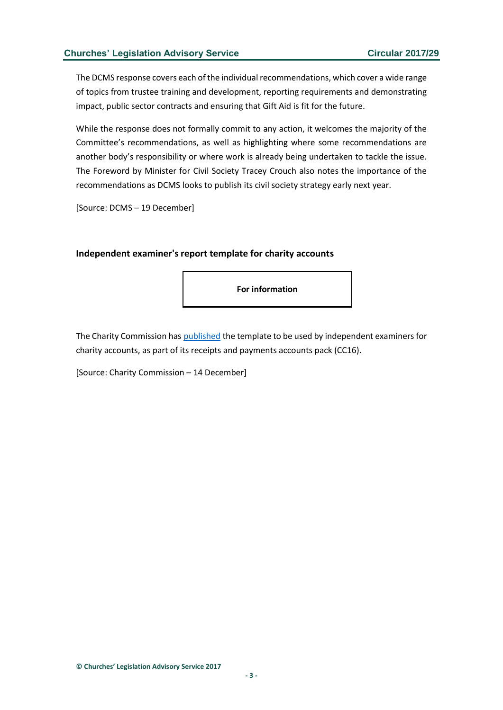The DCMS response covers each of the individual recommendations, which cover a wide range of topics from trustee training and development, reporting requirements and demonstrating impact, public sector contracts and ensuring that Gift Aid is fit for the future.

While the response does not formally commit to any action, it welcomes the majority of the Committee's recommendations, as well as highlighting where some recommendations are another body's responsibility or where work is already being undertaken to tackle the issue. The Foreword by Minister for Civil Society Tracey Crouch also notes the importance of the recommendations as DCMS looks to publish its civil society strategy early next year.

[Source: DCMS – 19 December]

#### <span id="page-2-0"></span>**Independent examiner's report template for charity accounts**

**For information**

The Charity Commission has [published](http://www.gov.uk/government/publications/independent-examiners-report-template-for-receipts-and-payments-accounts) the template to be used by independent examiners for charity accounts, as part of its receipts and payments accounts pack (CC16).

[Source: Charity Commission – 14 December]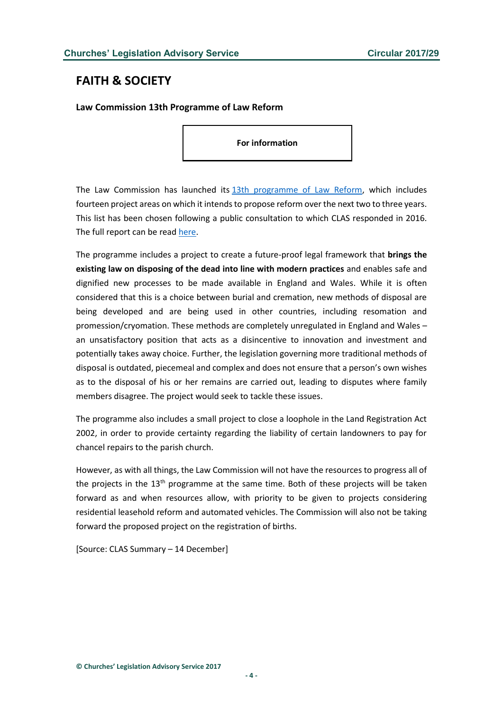# <span id="page-3-0"></span>**FAITH & SOCIETY**

<span id="page-3-1"></span>**Law Commission 13th Programme of Law Reform**

**For information**

The Law Commission has launched its [13th programme of Law Reform,](https://www.lawcom.gov.uk/project/13th-programme-of-law-reform/) which includes fourteen project areas on which it intends to propose reform over the next two to three years. This list has been chosen following a public consultation to which CLAS responded in 2016. The full report can be read [here.](https://s3-eu-west-2.amazonaws.com/lawcom-prod-storage-11jsxou24uy7q/uploads/2017/12/13th-Programme-of-Law-Reform.pdf)

The programme includes a project to create a future-proof legal framework that **brings the existing law on disposing of the dead into line with modern practices** and enables safe and dignified new processes to be made available in England and Wales. While it is often considered that this is a choice between burial and cremation, new methods of disposal are being developed and are being used in other countries, including resomation and promession/cryomation. These methods are completely unregulated in England and Wales – an unsatisfactory position that acts as a disincentive to innovation and investment and potentially takes away choice. Further, the legislation governing more traditional methods of disposal is outdated, piecemeal and complex and does not ensure that a person's own wishes as to the disposal of his or her remains are carried out, leading to disputes where family members disagree. The project would seek to tackle these issues.

The programme also includes a small project to close a loophole in the Land Registration Act 2002, in order to provide certainty regarding the liability of certain landowners to pay for chancel repairs to the parish church.

However, as with all things, the Law Commission will not have the resources to progress all of the projects in the  $13<sup>th</sup>$  programme at the same time. Both of these projects will be taken forward as and when resources allow, with priority to be given to projects considering residential leasehold reform and automated vehicles. The Commission will also not be taking forward the proposed project on the registration of births.

[Source: CLAS Summary – 14 December]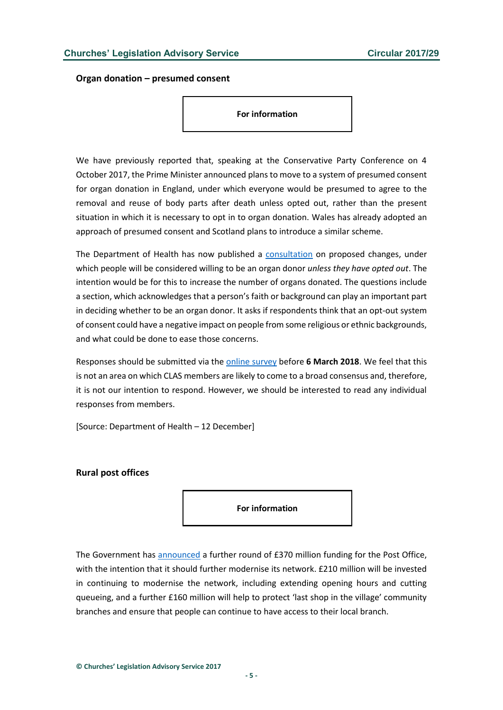<span id="page-4-0"></span>**Organ donation – presumed consent**

**For information**

We have previously reported that, speaking at the Conservative Party Conference on 4 October 2017, the Prime Minister announced plans to move to a system of presumed consent for organ donation in England, under which everyone would be presumed to agree to the removal and reuse of body parts after death unless opted out, rather than the present situation in which it is necessary to opt in to organ donation. Wales has already adopted an approach of presumed consent and Scotland plans to introduce a similar scheme.

The Department of Health has now published a [consultation](https://engage.dh.gov.uk/organdonation/?utm_source=BBC&utm_content=organdonationlandingpage) on proposed changes, under which people will be considered willing to be an organ donor *unless they have opted out*. The intention would be for this to increase the number of organs donated. The questions include a section, which acknowledges that a person's faith or background can play an important part in deciding whether to be an organ donor. It asks if respondents think that an opt-out system of consent could have a negative impact on people from some religious or ethnic backgrounds, and what could be done to ease those concerns.

Responses should be submitted via th[e online survey](https://engage.dh.gov.uk/organdonation/13-2/) before **6 March 2018**. We feel that this is not an area on which CLAS members are likely to come to a broad consensus and, therefore, it is not our intention to respond. However, we should be interested to read any individual responses from members.

[Source: Department of Health – 12 December]

<span id="page-4-1"></span>**Rural post offices**

**For information**

The Government has [announced](https://www.gov.uk/government/news/government-pledges-to-secure-the-future-of-the-post-office) a further round of £370 million funding for the Post Office, with the intention that it should further modernise its network. £210 million will be invested in continuing to modernise the network, including extending opening hours and cutting queueing, and a further £160 million will help to protect 'last shop in the village' community branches and ensure that people can continue to have access to their local branch.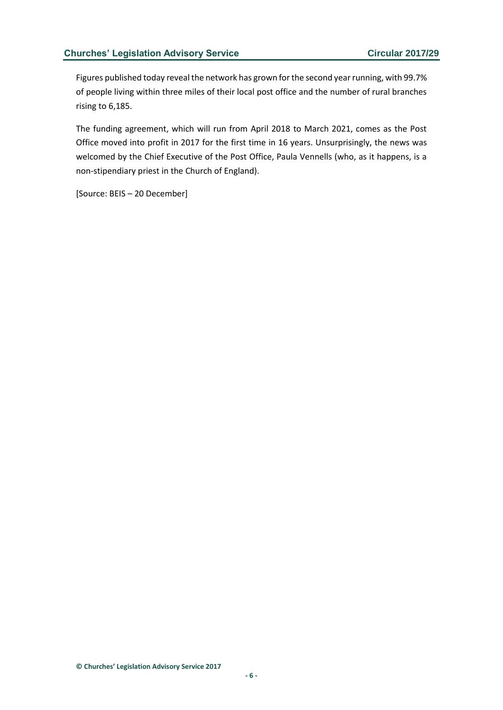Figures published today reveal the network has grown for the second year running, with 99.7% of people living within three miles of their local post office and the number of rural branches rising to 6,185.

The funding agreement, which will run from April 2018 to March 2021, comes as the Post Office moved into profit in 2017 for the first time in 16 years. Unsurprisingly, the news was welcomed by the Chief Executive of the Post Office, Paula Vennells (who, as it happens, is a non-stipendiary priest in the Church of England).

[Source: BEIS – 20 December]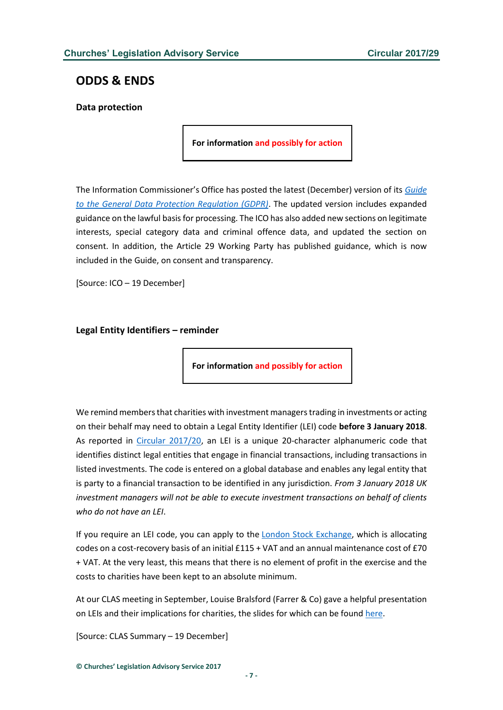## <span id="page-6-0"></span>**ODDS & ENDS**

<span id="page-6-1"></span>**Data protection**

**For information and possibly for action**

The Information Commissioner's Office has posted the latest (December) version of its *[Guide](https://ico.org.uk/for-organisations/guide-to-the-general-data-protection-regulation-gdpr/)  [to the General Data Protection Regulation \(GDPR\)](https://ico.org.uk/for-organisations/guide-to-the-general-data-protection-regulation-gdpr/)*. The updated version includes expanded guidance on the lawful basis for processing. The ICO has also added new sections on legitimate interests, special category data and criminal offence data, and updated the section on consent. In addition, the Article 29 Working Party has published guidance, which is now included in the Guide, on consent and transparency.

[Source: ICO – 19 December]

<span id="page-6-2"></span>**Legal Entity Identifiers – reminder**

**For information and possibly for action**

We remind members that charities with investment managers trading in investments or acting on their behalf may need to obtain a Legal Entity Identifier (LEI) code **before 3 January 2018**. As reported in [Circular 2017/20,](http://www.churcheslegislation.org.uk/issues/issues.php?id=1677) an LEI is a unique 20-character alphanumeric code that identifies distinct legal entities that engage in financial transactions, including transactions in listed investments. The code is entered on a global database and enables any legal entity that is party to a financial transaction to be identified in any jurisdiction. *From 3 January 2018 UK investment managers will not be able to execute investment transactions on behalf of clients who do not have an LEI*.

If you require an LEI code, you can apply to the [London Stock Exchange,](http://www.lseg.com/LEI) which is allocating codes on a cost-recovery basis of an initial £115 + VAT and an annual maintenance cost of £70 + VAT. At the very least, this means that there is no element of profit in the exercise and the costs to charities have been kept to an absolute minimum.

At our CLAS meeting in September, Louise Bralsford (Farrer & Co) gave a helpful presentation on LEIs and their implications for charities, the slides for which can be foun[d here.](http://www.churcheslegislation.org.uk/files/meetings/Louise_Bralsford_-_LEIs_slides.pdf)

[Source: CLAS Summary – 19 December]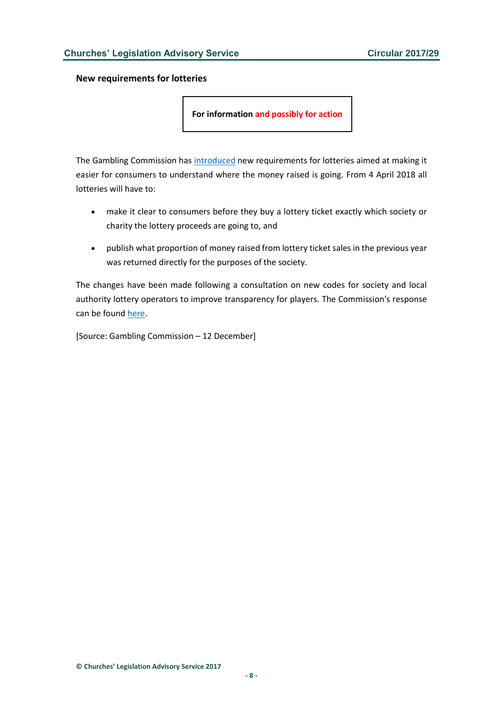<span id="page-7-0"></span>**New requirements for lotteries**

**For information and possibly for action**

The Gambling Commission has [introduced](http://www.gamblingcommission.gov.uk/news-action-and-statistics/news/2017/Lottery-consultation-response.aspx) new requirements for lotteries aimed at making it easier for consumers to understand where the money raised is going. From 4 April 2018 all lotteries will have to:

- make it clear to consumers before they buy a lottery ticket exactly which society or charity the lottery proceeds are going to, and
- publish what proportion of money raised from lottery ticket sales in the previous year was returned directly for the purposes of the society.

The changes have been made following a consultation on new codes for society and local authority lottery operators to improve transparency for players. The Commission's response can be found [here.](http://www.gamblingcommission.gov.uk/news-action-and-statistics/Consultations/Closed-consultations-with-response/Have-your-say-on-changes-to-society-lottery-codes-of-practice.aspx)

[Source: Gambling Commission – 12 December]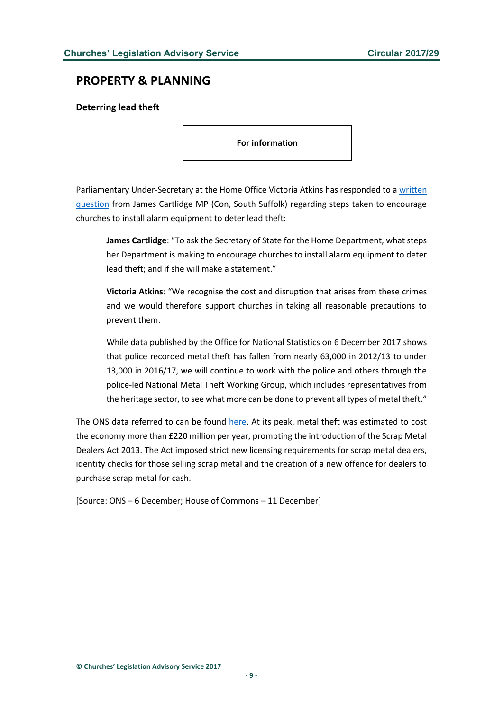## <span id="page-8-0"></span>**PROPERTY & PLANNING**

#### <span id="page-8-1"></span>**Deterring lead theft**

**For information**

Parliamentary Under-Secretary at the Home Office Victoria Atkins has responded to [a written](http://www.parliament.uk/business/publications/written-questions-answers-statements/written-question/Commons/2017-12-07/118256/)  [question](http://www.parliament.uk/business/publications/written-questions-answers-statements/written-question/Commons/2017-12-07/118256/) from James Cartlidge MP (Con, South Suffolk) regarding steps taken to encourage churches to install alarm equipment to deter lead theft:

**James Cartlidge**: "To ask the Secretary of State for the Home Department, what steps her Department is making to encourage churches to install alarm equipment to deter lead theft; and if she will make a statement."

**Victoria Atkins**: "We recognise the cost and disruption that arises from these crimes and we would therefore support churches in taking all reasonable precautions to prevent them.

While data published by the Office for National Statistics on 6 December 2017 shows that police recorded metal theft has fallen from nearly 63,000 in 2012/13 to under 13,000 in 2016/17, we will continue to work with the police and others through the police-led National Metal Theft Working Group, which includes representatives from the heritage sector, to see what more can be done to prevent all types of metal theft."

The ONS data referred to can be found [here.](https://www.ons.gov.uk/peoplepopulationandcommunity/crimeandjustice/bulletins/focusonpropertycrime/yearendingmarch2016) At its peak, metal theft was estimated to cost the economy more than £220 million per year, prompting the introduction of the Scrap Metal Dealers Act 2013. The Act imposed strict new licensing requirements for scrap metal dealers, identity checks for those selling scrap metal and the creation of a new offence for dealers to purchase scrap metal for cash.

[Source: ONS – 6 December; House of Commons – 11 December]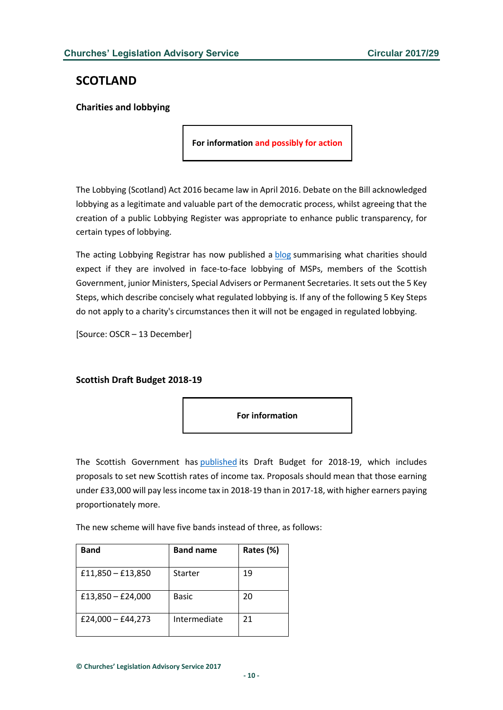## <span id="page-9-0"></span>**SCOTLAND**

#### <span id="page-9-1"></span>**Charities and lobbying**

**For information and possibly for action**

The Lobbying (Scotland) Act 2016 became law in April 2016. Debate on the Bill acknowledged lobbying as a legitimate and valuable part of the democratic process, whilst agreeing that the creation of a public Lobbying Register was appropriate to enhance public transparency, for certain types of lobbying.

The acting Lobbying Registrar has now published a [blog](http://www.oscr.org.uk/blog/2017/december/05/the-lobbying-scotland-act-2016-and-what-it-means-for-your-charity) summarising what charities should expect if they are involved in face-to-face lobbying of MSPs, members of the Scottish Government, junior Ministers, Special Advisers or Permanent Secretaries. It sets out the 5 Key Steps, which describe concisely what regulated lobbying is. If any of the following 5 Key Steps do not apply to a charity's circumstances then it will not be engaged in regulated lobbying.

[Source: OSCR – 13 December]

#### <span id="page-9-2"></span>**Scottish Draft Budget 2018-19**



The Scottish Government has [published](http://www.gov.scot/Resource/0052/00529171.pdf) its Draft Budget for 2018-19, which includes proposals to set new Scottish rates of income tax. Proposals should mean that those earning under £33,000 will pay less income tax in 2018-19 than in 2017-18, with higher earners paying proportionately more.

The new scheme will have five bands instead of three, as follows:

| <b>Band</b>         | <b>Band name</b> | Rates (%) |
|---------------------|------------------|-----------|
| £11,850 $-$ £13,850 | Starter          | 19        |
| £13,850 $-$ £24,000 | Basic            | 20        |
| £24,000 - £44,273   | Intermediate     | 21        |